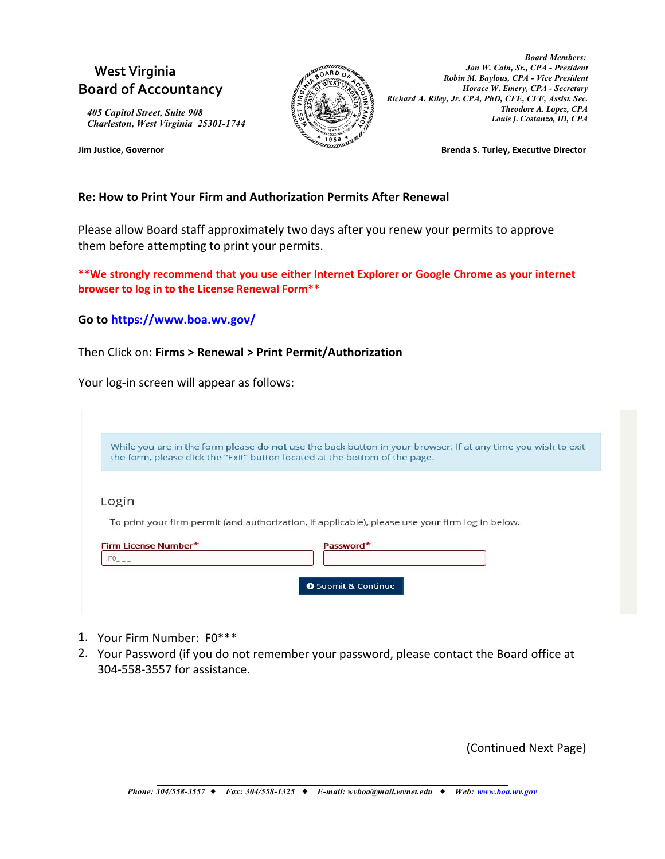## **West Virginia Board of Accountancy**

*405 Capitol Street, Suite 908 Charleston, West Virginia 25301-1744*



*Board Members: Jon W. Cain, Sr., CPA - President Robin M. Baylous, CPA - Vice President Horace W. Emery, CPA - Secretary Richard A. Riley, Jr. CPA, PhD, CFE, CFF, Assist. Sec. Theodore A. Lopez, CPA Louis J. Costanzo, III, CPA*

**Jim Justice, Governor Brenda S. Turley, Executive Director**

## **Re: How to Print Your Firm and Authorization Permits After Renewal**

Please allow Board staff approximately two days after you renew your permits to approve them before attempting to print your permits.

**\*\*We strongly recommend that you use either Internet Explorer or Google Chrome as your internet browser to log in to the License Renewal Form\*\***

**Go to<https://www.boa.wv.gov/>** 

Then Click on: **Firms > Renewal > Print Permit/Authorization** 

Your log-in screen will appear as follows:

|                      | While you are in the form please do not use the back button in your browser. If at any time you wish to exit |
|----------------------|--------------------------------------------------------------------------------------------------------------|
|                      | the form, please click the "Exit" button located at the bottom of the page.                                  |
|                      |                                                                                                              |
| Login                |                                                                                                              |
|                      |                                                                                                              |
|                      | To print your firm permit (and authorization, if applicable), please use your firm log in below.             |
|                      |                                                                                                              |
| Firm License Number* | Password*                                                                                                    |
| $FO_{---}$           |                                                                                                              |
|                      |                                                                                                              |

- 1. Your Firm Number: F0\*\*\*
- 2. Your Password (if you do not remember your password, please contact the Board office at 304-558-3557 for assistance.

(Continued Next Page)